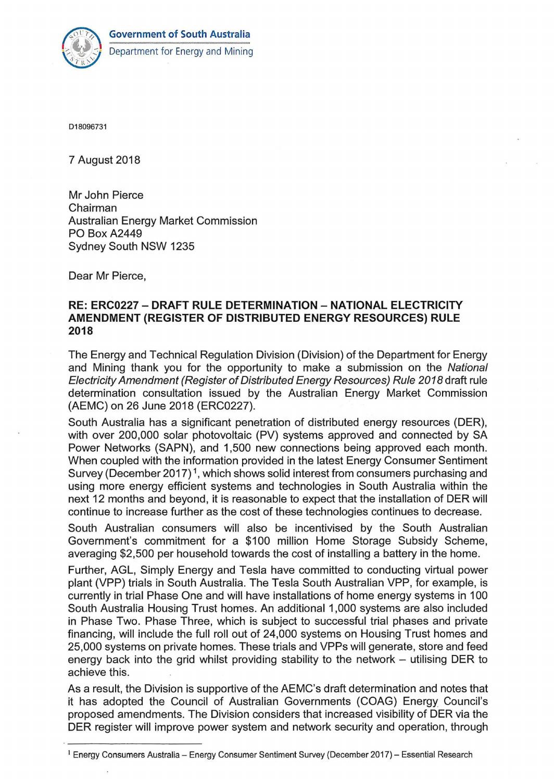



D18096731

7 August 2018

Mr John Pierce Chairman Australian Energy Market Commission PO Box A2449 Sydney South NSW 1235

Dear Mr Pierce,

## **RE: ERC0227- DRAFT RULE DETERMINATION- NATIONAL ELECTRICITY AMENDMENT (REGISTER OF DISTRIBUTED ENERGY RESOURCES) RULE 2018**

The Energy and Technical Regulation Division (Division) of the Department for Energy and Mining thank you for the opportunity to make a submission on the National Electricity Amendment (Register of Distributed Energy Resources) Rule 2018 draft rule determination consultation issued by the Australian Energy Market Commission (AEMC) on 26 June 2018 (ERC0227).

South Australia has a significant penetration of distributed energy resources (DER), with over 200,000 solar photovoltaic (PV) systems approved and connected by SA Power Networks (SAPN), and 1,500 new connections being approved each month. When coupled with the information provided in the latest Energy Consumer Sentiment Survey (December 2017)<sup>1</sup>, which shows solid interest from consumers purchasing and using more energy efficient systems and technologies in South Australia within the next 12 months and beyond, it is reasonable to expect that the installation of DER will continue to increase further as the cost of these technologies continues to decrease.

South Australian consumers will also be incentivised by the South Australian Government's commitment for a \$100 million Home Storage Subsidy Scheme, averaging \$2,500 per household towards the cost of installing a battery in the home.

Further, AGL, Simply Energy and Tesla have committed to conducting virtual power plant (VPP) trials in South Australia. The Tesla South Australian VPP, for example, is currently in trial Phase One and will have installations of home energy systems in 1 00 South Australia Housing Trust homes. An additional 1 ,000 systems are also included in Phase Two. Phase Three, which is subject to successful trial phases and private financing, will include the full roll out of 24,000 systems on Housing Trust homes and 25,000 systems on private homes. These trials and VPPs will generate, store and feed energy back into the grid whilst providing stability to the network  $-$  utilising DER to achieve this.

As a result, the Division is supportive of the AEMC's draft determination and notes that it has adopted the Council of Australian Governments (COAG) Energy Council's proposed amendments. The Division considers that increased visibility of DER via the DER register will improve power system and network security and operation, through

 $1$  Energy Consumers Australia - Energy Consumer Sentiment Survey (December 2017) - Essential Research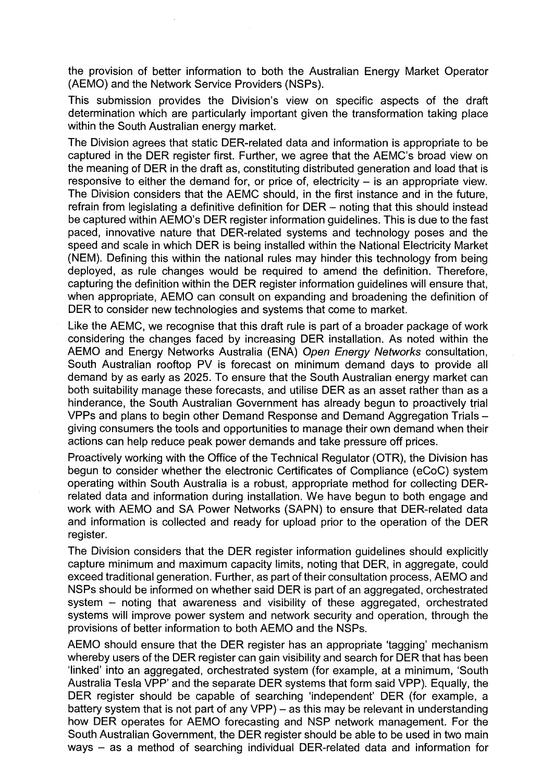the provision of better information to both the Australian Energy Market Operator (AEMO) and the Network Service Providers (NSPs).

This submission provides the Division's view on specific aspects of the draft determination which are particularly important given the transformation taking place within the South Australian energy market.

The Division agrees that static DER-related data and information is appropriate to be captured in the DER register first. Further, we agree that the AEMC's broad view on the meaning of DER in the draft as, constituting distributed generation and load that is responsive to either the demand for, or price of, electricity  $-$  is an appropriate view. The Division considers that the AEMC should, in the first instance and in the future, refrain from legislating a definitive definition for  $DER -$  noting that this should instead be captured within AEMO's DER register information guidelines. This is due to the fast paced, innovative nature that DER-related systems and technology poses and the speed and scale in which DER is being installed within the National Electricity Market (NEM). Defining this within the national rules may hinder this technology from being deployed, as rule changes would be required to amend the definition. Therefore, capturing the definition within the DER register information guidelines will ensure that, when appropriate, AEMO can consult on expanding and broadening the definition of DER to consider new technologies and systems that come to market.

Like the AEMC, we recognise that this draft rule is part of a broader package of work considering the changes faced by increasing DER installation. As noted within the AEMO and Energy Networks Australia (ENA) Open Energy Networks consultation, South Australian rooftop PV is forecast on minimum demand days to provide all demand by as early as 2025. To ensure that the South Australian energy market can both suitability manage these forecasts, and utilise DER as an asset rather than as a hinderance, the South Australian Government has already begun to proactively trial VPPs and plans to begin other Demand Response and Demand Aggregation Trialsgiving consumers the tools and opportunities to manage their own demand when their actions can help reduce peak power demands and take pressure off prices.

Proactively working with the Office of the Technical Regulator (OTR), the Division has begun to consider whether the electronic Certificates of Compliance (eCoC) system operating within South Australia is a robust, appropriate method for collecting DERrelated data and information during installation. We have begun to both engage and work with AEMO and SA Power Networks (SAPN) to ensure that DER-related data and information is collected and ready for upload prior to the operation of the DER register.

The Division considers that the DER register information guidelines should explicitly capture minimum and maximum capacity limits, noting that DER, in aggregate, could exceed traditional generation. Further, as part of their consultation process, AEMO and NSPs should be informed on whether said DER is part of an aggregated, orchestrated system - noting that awareness and visibility of these aggregated, orchestrated systems will improve power system and network security and operation, through the provisions of better information to both AEMO and the NSPs.

AEMO should ensure that the DER register has an appropriate 'tagging' mechanism whereby users of the DER register can gain visibility and search for DER that has been 'linked' into an aggregated, orchestrated system (for example, at a minimum, 'South Australia Tesla VPP' and the separate DER systems that form said VPP). Equally, the DER register should be capable of searching 'independent' DER (for example, a battery system that is not part of any VPP) - as this may be relevant in understanding how DER operates for AEMO forecasting and NSP network management. For the South Australian Government, the DER register should be able to be used in two main ways - as a method of searching individual DER-related data and information for